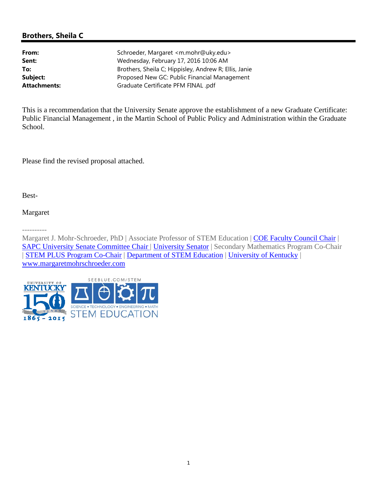# **Brothers, Sheila C**

| From:               | Schroeder, Margaret <m.mohr@uky.edu></m.mohr@uky.edu> |
|---------------------|-------------------------------------------------------|
| Sent:               | Wednesday, February 17, 2016 10:06 AM                 |
| To:                 | Brothers, Sheila C; Hippisley, Andrew R; Ellis, Janie |
| Subject:            | Proposed New GC: Public Financial Management          |
| <b>Attachments:</b> | Graduate Certificate PFM FINAL .pdf                   |

This is a recommendation that the University Senate approve the establishment of a new Graduate Certificate: Public Financial Management , in the Martin School of Public Policy and Administration within the Graduate School.

Please find the revised proposal attached.

Best-

# Margaret

----------

Margaret J. Mohr-Schroeder, PhD | Associate Professor of STEM Education | COE Faculty Council Chair | SAPC University Senate Committee Chair | University Senator | Secondary Mathematics Program Co-Chair | STEM PLUS Program Co-Chair | Department of STEM Education | University of Kentucky | www.margaretmohrschroeder.com

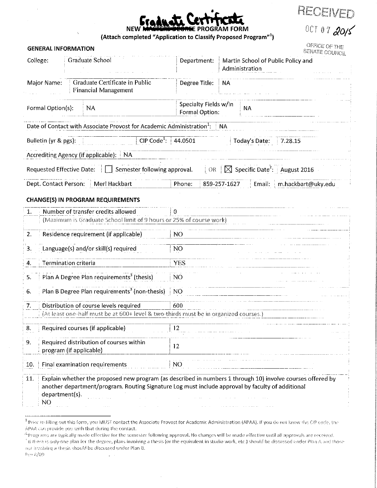| raduate LerTIT<br>ы            |  | <b>TTCOLL</b> |  |
|--------------------------------|--|---------------|--|
| <b>JIG DEGREE PROGRAM FORM</b> |  |               |  |

# (Attach completed "Application to Classify Proposed Program"1)

**GENERAL INFORMATION** 

| H | <b>Second</b><br>J |  |  | $-$ well $V$ for $\sim$ |  |
|---|--------------------|--|--|-------------------------|--|
|   |                    |  |  |                         |  |

OCT 07 2015

OFFICE OF THE<br>SENATE COUNCIL

| College:                          | Graduate School                                                                                                                                                                                                | Department:                                                                                                            |                             |              | Administration | Martin School of Public Policy and                   |
|-----------------------------------|----------------------------------------------------------------------------------------------------------------------------------------------------------------------------------------------------------------|------------------------------------------------------------------------------------------------------------------------|-----------------------------|--------------|----------------|------------------------------------------------------|
| Major Name:                       | Graduate Certificate in Public<br><b>Financial Management</b>                                                                                                                                                  | Degree Title:                                                                                                          |                             | <b>NA</b>    |                |                                                      |
| Formal Option(s):                 | <b>NA</b>                                                                                                                                                                                                      | Specialty Fields w/in<br>Formal Option:                                                                                |                             |              | <b>NA</b>      |                                                      |
|                                   | Date of Contact with Associate Provost for Academic Administration <sup>1</sup> :                                                                                                                              |                                                                                                                        |                             | <b>NA</b>    |                |                                                      |
| Bulletin (yr & pgs):              | CIP Code <sup>1</sup> : 44.0501                                                                                                                                                                                |                                                                                                                        |                             |              | Today's Date:  | 7.28.15                                              |
|                                   | Accrediting Agency (if applicable): NA                                                                                                                                                                         |                                                                                                                        |                             |              |                |                                                      |
|                                   | Requested Effective Date:   [ ] Semester following approval.                                                                                                                                                   |                                                                                                                        | $\overline{\phantom{a}}$ OR |              |                | $\boxtimes$ Specific Date <sup>2</sup> : August 2016 |
| Dept. Contact Person:             | Merl Hackbart                                                                                                                                                                                                  | Phone:                                                                                                                 |                             | 859-257-1627 | Email:         | m.hackbart@uky.edu                                   |
|                                   | <b>CHANGE(S) IN PROGRAM REQUIREMENTS</b>                                                                                                                                                                       |                                                                                                                        |                             |              |                |                                                      |
| 1.                                | Number of transfer credits allowed<br>(Maximum is Graduate School limit of 9 hours or 25% of course work)                                                                                                      | 0                                                                                                                      |                             |              |                |                                                      |
| 2.                                | Residence requirement (if applicable)                                                                                                                                                                          | NO <sub>1</sub>                                                                                                        |                             |              |                |                                                      |
| 3.                                | Language(s) and/or skill(s) required                                                                                                                                                                           | NO.                                                                                                                    |                             |              |                |                                                      |
| <b>Termination criteria</b><br>4. |                                                                                                                                                                                                                | <b>YES</b>                                                                                                             |                             |              |                |                                                      |
| 5.                                | Plan A Degree Plan requirements <sup>3</sup> (thesis)                                                                                                                                                          | N <sub>O</sub>                                                                                                         |                             |              |                |                                                      |
| 6.                                | Plan B Degree Plan requirements <sup>3</sup> (non-thesis)                                                                                                                                                      | NO                                                                                                                     |                             |              |                |                                                      |
| 7.                                | Distribution of course levels required                                                                                                                                                                         | 600                                                                                                                    |                             |              |                |                                                      |
|                                   | (At least one-half must be at 600+ level & two-thirds must be in organized courses.)                                                                                                                           |                                                                                                                        |                             |              |                |                                                      |
| 8.                                | Required courses (if applicable)                                                                                                                                                                               | 12                                                                                                                     |                             |              |                |                                                      |
| 9.<br>program (if applicable)     | Required distribution of courses within                                                                                                                                                                        | 12                                                                                                                     |                             |              |                |                                                      |
| 10.                               | Final examination requirements                                                                                                                                                                                 | and the company of the company of the company of the company of the company of the company of the company of the<br>NO |                             |              |                |                                                      |
| 11.<br>department(s).<br>NO       | Explain whether the proposed new program (as described in numbers 1 through 10) involve courses offered by<br>another department/program. Routing Signature Log must include approval by faculty of additional |                                                                                                                        |                             |              |                |                                                      |

<sup>2</sup> Programs are typically made effective for the semester following approval. No changes will be made effective until all approvals are received.

Rev 8/09.

 $\mathbf{r}$ 

<sup>&</sup>lt;sup>1</sup> Prior to filling out this form, you MUST contact the Associate Provost for Academic Administration (APAA). If you do not know the CIP code, the APAA can provide you with that during the contact.

fit there is only one plan for the degree, plans involving a thesis (or the equivalent in studio work, etc.) should be discussed under Plan A and those not involving a thesis should be discussed under Plan B.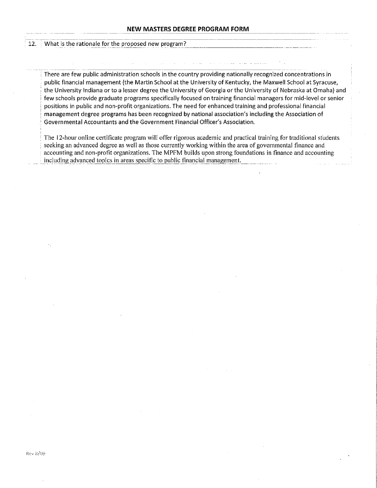#### What is the rationale for the proposed new program?  $12.$

There are few public administration schools in the country providing nationally recognized concentrations in public financial management (the Martin School at the University of Kentucky, the Maxwell School at Syracuse, the University Indiana or to a lesser degree the University of Georgia or the University of Nebraska at Omaha) and few schools provide graduate programs specifically focused on training financial managers for mid-level or senior positions in public and non-profit organizations. The need for enhanced training and professional financial management degree programs has been recognized by national association's including the Association of Governmental Accountants and the Government Financial Officer's Association.

The 12-hour online certificate program will offer rigorous academic and practical training for traditional students seeking an advanced degree as well as those currently working within the area of governmental finance and accounting and non-profit organizations. The MPFM builds upon strong foundations in finance and accounting including advanced topics in areas specific to public financial management.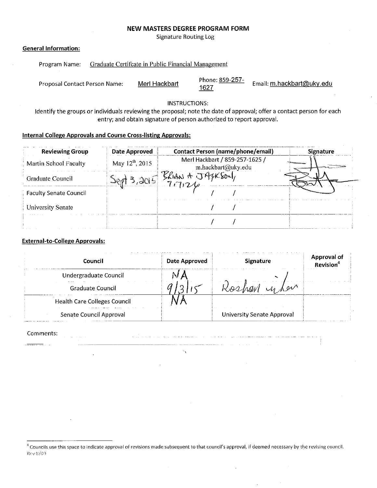### **NEW MASTERS DEGREE PROGRAM FORM**

**Signature Routing Log** 

### **General Information:**

| Program Name: | Graduate Certificate in Public Financial Management |
|---------------|-----------------------------------------------------|
|               |                                                     |

Phone: 859-257-Email: m.hackbart@uky.edu Proposal Contact Person Name: Merl Hackbart 1627

**INSTRUCTIONS:** 

Identify the groups or individuals reviewing the proposal; note the date of approval; offer a contact person for each entry; and obtain signature of person authorized to report approval.

#### **Internal College Approvals and Course Cross-listing Approvals:**

| <b>Reviewing Group</b>        | Date Approved               | <b>Contact Person (name/phone/email)</b>             | <b>Signature</b> |
|-------------------------------|-----------------------------|------------------------------------------------------|------------------|
| Martin School Faculty         | May 12 <sup>th</sup> , 2015 | Merl Hackbart / 859-257-1625 /<br>m.hackbart@uky.edu |                  |
| Graduate Council              |                             |                                                      |                  |
| <b>Faculty Senate Council</b> |                             |                                                      |                  |
| University Senate             |                             |                                                      |                  |
|                               |                             |                                                      |                  |

# **External-to-College Approvals:**

| Council                             | Date Approved | <b>Signature</b>                  | Approval of |
|-------------------------------------|---------------|-----------------------------------|-------------|
| Undergraduate Council               |               |                                   |             |
| <b>Graduate Council</b>             |               | i w                               |             |
| <b>Health Care Colleges Council</b> |               |                                   |             |
| Senate Council Approval             |               | <b>University Senate Approval</b> |             |

a di sebagai sebagai sebagai sebagai sebagai sebagai sebagai sebagai sebagai sebagai sebagai sebagai sebagai s

 $\alpha_{\rm V}$ 

المنابع المنابع المنابع المنابع المنابع المنابع المنابع المنابع المنابع المنابع المنابع المنابع المنابع المناب<br>المنابع المنابع المنابع المنابع المنابع المنابع المنابع المنابع المنابع المنابع المنابع المنابع المنابع المناب

#### Comments:

<sup>4</sup> Councils use this space to indicate approval of revisions made subsequent to that council's approval, if deemed necessary by the revising council. Rev 8/09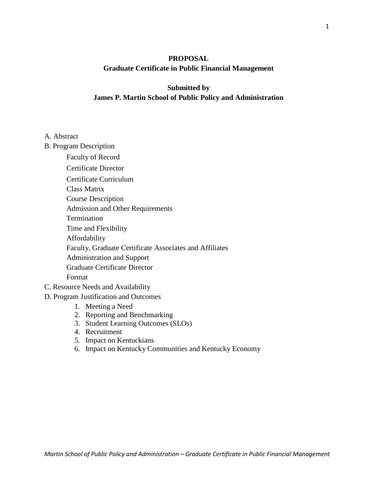# **PROPOSAL Graduate Certificate in Public Financial Management**

# **Submitted by James P. Martin School of Public Policy and Administration**

# A. Abstract

- B. Program Description
	- Faculty of Record
	- Certificate Director
	- Certificate Curriculum
	- Class Matrix
	- Course Description
	- Admission and Other Requirements
	- Termination
	- Time and Flexibility
	- Affordability
	- Faculty, Graduate Certificate Associates and Affiliates
	- Administration and Support
	- Graduate Certificate Director

# Format

- C. Resource Needs and Availability
- D. Program Justification and Outcomes
	- 1. Meeting a Need
	- 2. Reporting and Benchmarking
	- 3. Student Learning Outcomes (SLOs)
	- 4. Recruitment
	- 5. Impact on Kentuckians
	- 6. Impact on Kentucky Communities and Kentucky Economy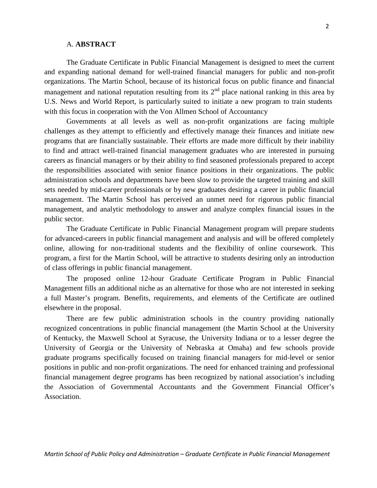### A. **ABSTRACT**

The Graduate Certificate in Public Financial Management is designed to meet the current and expanding national demand for well-trained financial managers for public and non-profit organizations. The Martin School, because of its historical focus on public finance and financial management and national reputation resulting from its  $2<sup>nd</sup>$  place national ranking in this area by U.S. News and World Report, is particularly suited to initiate a new program to train students with this focus in cooperation with the Von Allmen School of Accountancy

Governments at all levels as well as non-profit organizations are facing multiple challenges as they attempt to efficiently and effectively manage their finances and initiate new programs that are financially sustainable. Their efforts are made more difficult by their inability to find and attract well-trained financial management graduates who are interested in pursuing careers as financial managers or by their ability to find seasoned professionals prepared to accept the responsibilities associated with senior finance positions in their organizations. The public administration schools and departments have been slow to provide the targeted training and skill sets needed by mid-career professionals or by new graduates desiring a career in public financial management. The Martin School has perceived an unmet need for rigorous public financial management, and analytic methodology to answer and analyze complex financial issues in the public sector.

The Graduate Certificate in Public Financial Management program will prepare students for advanced-careers in public financial management and analysis and will be offered completely online, allowing for non-traditional students and the flexibility of online coursework. This program, a first for the Martin School, will be attractive to students desiring only an introduction of class offerings in public financial management.

The proposed online 12-hour Graduate Certificate Program in Public Financial Management fills an additional niche as an alternative for those who are not interested in seeking a full Master's program. Benefits, requirements, and elements of the Certificate are outlined elsewhere in the proposal.

There are few public administration schools in the country providing nationally recognized concentrations in public financial management (the Martin School at the University of Kentucky, the Maxwell School at Syracuse, the University Indiana or to a lesser degree the University of Georgia or the University of Nebraska at Omaha) and few schools provide graduate programs specifically focused on training financial managers for mid-level or senior positions in public and non-profit organizations. The need for enhanced training and professional financial management degree programs has been recognized by national association's including the Association of Governmental Accountants and the Government Financial Officer's Association.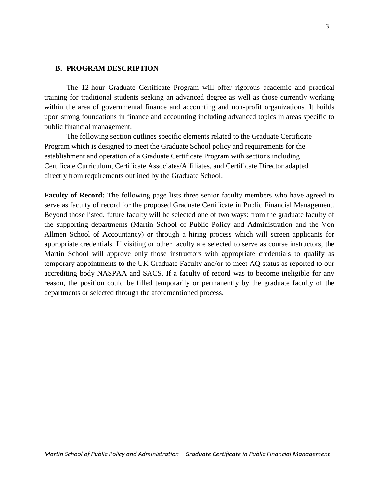### **B. PROGRAM DESCRIPTION**

The 12-hour Graduate Certificate Program will offer rigorous academic and practical training for traditional students seeking an advanced degree as well as those currently working within the area of governmental finance and accounting and non-profit organizations. It builds upon strong foundations in finance and accounting including advanced topics in areas specific to public financial management.

The following section outlines specific elements related to the Graduate Certificate Program which is designed to meet the Graduate School policy and requirements for the establishment and operation of a Graduate Certificate Program with sections including Certificate Curriculum, Certificate Associates/Affiliates, and Certificate Director adapted directly from requirements outlined by the Graduate School.

**Faculty of Record:** The following page lists three senior faculty members who have agreed to serve as faculty of record for the proposed Graduate Certificate in Public Financial Management. Beyond those listed, future faculty will be selected one of two ways: from the graduate faculty of the supporting departments (Martin School of Public Policy and Administration and the Von Allmen School of Accountancy) or through a hiring process which will screen applicants for appropriate credentials. If visiting or other faculty are selected to serve as course instructors, the Martin School will approve only those instructors with appropriate credentials to qualify as temporary appointments to the UK Graduate Faculty and/or to meet AQ status as reported to our accrediting body NASPAA and SACS. If a faculty of record was to become ineligible for any reason, the position could be filled temporarily or permanently by the graduate faculty of the departments or selected through the aforementioned process.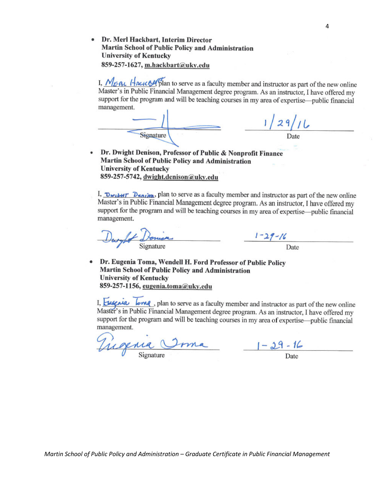Dr. Merl Hackbart, Interim Director Martin School of Public Policy and Administration **University of Kentucky** 859-257-1627, m.hackbart@uky.edu

I,  $M_{E, BL}$  Hacic 54 plan to serve as a faculty member and instructor as part of the new online Master's in Public Financial Management degree program. As an instructor, I have offered my support for the program and will be teaching courses in my area of expertise—public financial management

|           | '29/11 |
|-----------|--------|
| Signature | Date   |
|           |        |

Dr. Dwight Denison, Professor of Public & Nonprofit Finance Martin School of Public Policy and Administration **University of Kentucky** 859-257-5742, dwight.denison@uky.edu

I, Dwill Penim, plan to serve as a faculty member and instructor as part of the new online Master's in Public Financial Management degree program. As an instructor, I have offered my support for the program and will be teaching courses in my area of expertise—public financial management.

 $1 - 29 - 16$ 

Dr. Eugenia Toma, Wendell H. Ford Professor of Public Policy Martin School of Public Policy and Administration **University of Kentucky** 859-257-1156, eugenia.toma@uky.edu

I, Eugenia long, plan to serve as a faculty member and instructor as part of the new online Master's in Public Financial Management degree program. As an instructor, I have offered my support for the program and will be teaching courses in my area of expertise—public financial management.

Virginia Orma 1-29-16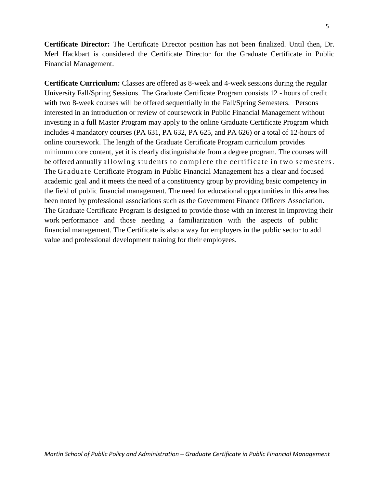**Certificate Director:** The Certificate Director position has not been finalized. Until then, Dr. Merl Hackbart is considered the Certificate Director for the Graduate Certificate in Public Financial Management.

**Certificate Curriculum:** Classes are offered as 8-week and 4-week sessions during the regular University Fall/Spring Sessions. The Graduate Certificate Program consists 12 - hours of credit with two 8-week courses will be offered sequentially in the Fall/Spring Semesters. Persons interested in an introduction or review of coursework in Public Financial Management without investing in a full Master Program may apply to the online Graduate Certificate Program which includes 4 mandatory courses (PA 631, PA 632, PA 625, and PA 626) or a total of 12-hours of online coursework. The length of the Graduate Certificate Program curriculum provides minimum core content, yet it is clearly distinguishable from a degree program. The courses will be offered annually allowing students to complete the certificate in two semesters. The Graduate Certificate Program in Public Financial Management has a clear and focused academic goal and it meets the need of a constituency group by providing basic competency in the field of public financial management. The need for educational opportunities in this area has been noted by professional associations such as the Government Finance Officers Association. The Graduate Certificate Program is designed to provide those with an interest in improving their work performance and those needing a familiarization with the aspects of public financial management. The Certificate is also a way for employers in the public sector to add value and professional development training for their employees.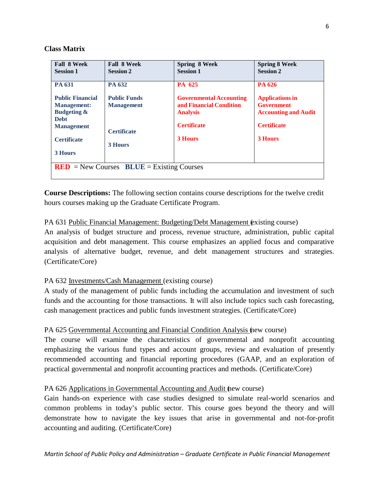# **Class Matrix**

| <b>Fall 8 Week</b>                                                                                          | <b>Fall 8 Week</b>                                 | <b>Spring 8 Week</b>                                                                               | <b>Spring 8 Week</b>                                                                             |  |  |  |  |
|-------------------------------------------------------------------------------------------------------------|----------------------------------------------------|----------------------------------------------------------------------------------------------------|--------------------------------------------------------------------------------------------------|--|--|--|--|
| <b>Session 1</b>                                                                                            | <b>Session 2</b>                                   | <b>Session 1</b>                                                                                   | <b>Session 2</b>                                                                                 |  |  |  |  |
| PA 631                                                                                                      | PA 632                                             | PA 625                                                                                             | PA 626                                                                                           |  |  |  |  |
| <b>Public Financial</b><br><b>Management:</b><br><b>Budgeting &amp;</b><br><b>Debt</b><br><b>Management</b> | <b>Public Funds</b><br><b>Management</b>           | <b>Governmental Accounting</b><br>and Financial Condition<br><b>Analysis</b><br><b>Certificate</b> | <b>Applications in</b><br><b>Government</b><br><b>Accounting and Audit</b><br><b>Certificate</b> |  |  |  |  |
| <b>Certificate</b>                                                                                          | <b>Certificate</b><br><b>3 Hours</b>               | <b>3 Hours</b>                                                                                     | <b>3 Hours</b>                                                                                   |  |  |  |  |
| <b>3 Hours</b>                                                                                              |                                                    |                                                                                                    |                                                                                                  |  |  |  |  |
|                                                                                                             | <b>RED</b> = New Courses $BLUE =$ Existing Courses |                                                                                                    |                                                                                                  |  |  |  |  |

**Course Descriptions:** The following section contains course descriptions for the twelve credit hours courses making up the Graduate Certificate Program.

# PA 631 Public Financial Management: Budgeting/Debt Management (existing course)

An analysis of budget structure and process, revenue structure, administration, public capital acquisition and debt management. This course emphasizes an applied focus and comparative analysis of alternative budget, revenue, and debt management structures and strategies. (Certificate/Core)

# PA 632 Investments/Cash Management (existing course)

A study of the management of public funds including the accumulation and investment of such funds and the accounting for those transactions. It will also include topics such cash forecasting, cash management practices and public funds investment strategies. (Certificate/Core)

# PA 625 Governmental Accounting and Financial Condition Analysis (new course)

The course will examine the characteristics of governmental and nonprofit accounting emphasizing the various fund types and account groups, review and evaluation of presently recommended accounting and financial reporting procedures (GAAP, and an exploration of practical governmental and nonprofit accounting practices and methods. (Certificate/Core)

# PA 626 Applications in Governmental Accounting and Audit (new course)

Gain hands-on experience with case studies designed to simulate real-world scenarios and common problems in today's public sector. This course goes beyond the theory and will demonstrate how to navigate the key issues that arise in governmental and not-for-profit accounting and auditing. (Certificate/Core)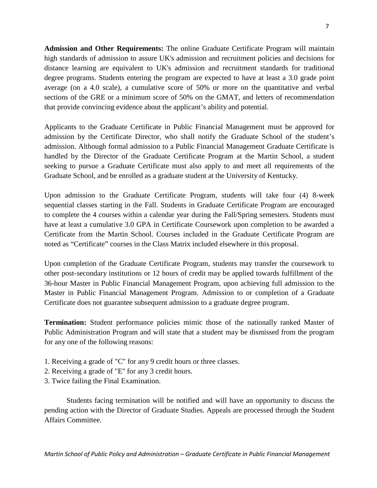**Admission and Other Requirements:** The online Graduate Certificate Program will maintain high standards of admission to assure UK's admission and recruitment policies and decisions for distance learning are equivalent to UK's admission and recruitment standards for traditional degree programs. Students entering the program are expected to have at least a 3.0 grade point average (on a 4.0 scale), a cumulative score of 50% or more on the quantitative and verbal sections of the GRE or a minimum score of 50% on the GMAT, and letters of recommendation that provide convincing evidence about the applicant's ability and potential.

Applicants to the Graduate Certificate in Public Financial Management must be approved for admission by the Certificate Director, who shall notify the Graduate School of the student's admission. Although formal admission to a Public Financial Management Graduate Certificate is handled by the Director of the Graduate Certificate Program at the Martin School, a student seeking to pursue a Graduate Certificate must also apply to and meet all requirements of the Graduate School, and be enrolled as a graduate student at the University of Kentucky.

Upon admission to the Graduate Certificate Program, students will take four (4) 8-week sequential classes starting in the Fall. Students in Graduate Certificate Program are encouraged to complete the 4 courses within a calendar year during the Fall/Spring semesters. Students must have at least a cumulative 3.0 GPA in Certificate Coursework upon completion to be awarded a Certificate from the Martin School. Courses included in the Graduate Certificate Program are noted as "Certificate" courses in the Class Matrix included elsewhere in this proposal.

Upon completion of the Graduate Certificate Program, students may transfer the coursework to other post-secondary institutions or 12 hours of credit may be applied towards fulfillment of the 36-hour Master in Public Financial Management Program, upon achieving full admission to the Master in Public Financial Management Program. Admission to or completion of a Graduate Certificate does not guarantee subsequent admission to a graduate degree program.

**Termination:** Student performance policies mimic those of the nationally ranked Master of Public Administration Program and will state that a student may be dismissed from the program for any one of the following reasons:

- 1. Receiving a grade of "C" for any 9 credit hours or three classes.
- 2. Receiving a grade of "E" for any 3 credit hours.
- 3. Twice failing the Final Examination.

Students facing termination will be notified and will have an opportunity to discuss the pending action with the Director of Graduate Studies. Appeals are processed through the Student Affairs Committee.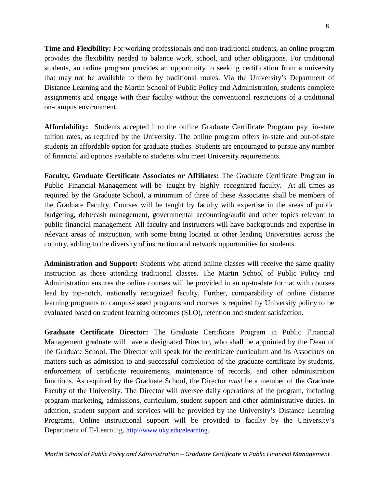**Time and Flexibility:** For working professionals and non-traditional students, an online program provides the flexibility needed to balance work, school, and other obligations. For traditional students, an online program provides an opportunity to seeking certification from a university that may not be available to them by traditional routes. Via the University's Department of Distance Learning and the Martin School of Public Policy and Administration, students complete assignments and engage with their faculty without the conventional restrictions of a traditional on-campus environment.

**Affordability:** Students accepted into the online Graduate Certificate Program pay in-state tuition rates, as required by the University. The online program offers in-state and out-of-state students an affordable option for graduate studies. Students are encouraged to pursue any number of financial aid options available to students who meet University requirements.

**Faculty, Graduate Certificate Associates or Affiliates:** The Graduate Certificate Program in Public Financial Management will be taught by highly recognized faculty. At all times as required by the Graduate School, a minimum of three of these Associates shall be members of the Graduate Faculty. Courses will be taught by faculty with expertise in the areas of public budgeting, debt/cash management, governmental accounting/audit and other topics relevant to public financial management. All faculty and instructors will have backgrounds and expertise in relevant areas of instruction, with some being located at other leading Universities across the country, adding to the diversity of instruction and network opportunities for students.

**Administration and Support:** Students who attend online classes will receive the same quality instruction as those attending traditional classes. The Martin School of Public Policy and Administration ensures the online courses will be provided in an up-to-date format with courses lead by top-notch, nationally recognized faculty. Further, comparability of online distance learning programs to campus-based programs and courses is required by University policy to be evaluated based on student learning outcomes (SLO), retention and student satisfaction.

**Graduate Certificate Director:** The Graduate Certificate Program in Public Financial Management graduate will have a designated Director, who shall be appointed by the Dean of the Graduate School. The Director will speak for the certificate curriculum and its Associates on matters such as admission to and successful completion of the graduate certificate by students, enforcement of certificate requirements, maintenance of records, and other administration functions. As required by the Graduate School, the Director *must* be a member of the Graduate Faculty of the University. The Director will oversee daily operations of the program, including program marketing, admissions, curriculum, student support and other administrative duties. In addition, student support and services will be provided by the University's Distance Learning Programs. Online instructional support will be provided to faculty by the University's Department of E-Learning. [http://www.uky.edu/elearning.](http://www.uky.edu/elearning)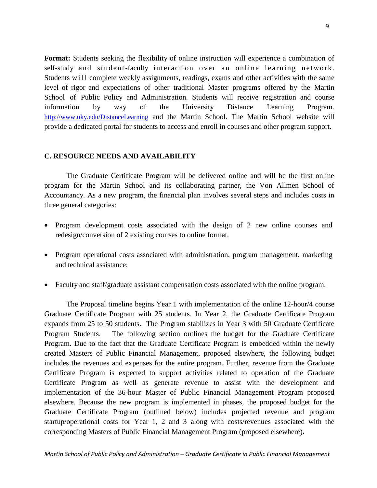**Format:** Students seeking the flexibility of online instruction will experience a combination of self-study and student-faculty interaction over an online learning network. Students will complete weekly assignments, readings, exams and other activities with the same level of rigor and expectations of other traditional Master programs offered by the Martin School of Public Policy and Administration. Students will receive registration and course information by way of the University Distance Learning Program. <http://www.uky.edu/DistanceLearning> and the Martin School. The Martin School website will provide a dedicated portal for students to access and enroll in courses and other program support.

# **C. RESOURCE NEEDS AND AVAILABILITY**

The Graduate Certificate Program will be delivered online and will be the first online program for the Martin School and its collaborating partner, the Von Allmen School of Accountancy. As a new program, the financial plan involves several steps and includes costs in three general categories:

- Program development costs associated with the design of 2 new online courses and redesign/conversion of 2 existing courses to online format.
- Program operational costs associated with administration, program management, marketing and technical assistance;
- Faculty and staff/graduate assistant compensation costs associated with the online program.

The Proposal timeline begins Year 1 with implementation of the online 12-hour/4 course Graduate Certificate Program with 25 students. In Year 2, the Graduate Certificate Program expands from 25 to 50 students. The Program stabilizes in Year 3 with 50 Graduate Certificate Program Students. The following section outlines the budget for the Graduate Certificate Program. Due to the fact that the Graduate Certificate Program is embedded within the newly created Masters of Public Financial Management, proposed elsewhere, the following budget includes the revenues and expenses for the entire program. Further, revenue from the Graduate Certificate Program is expected to support activities related to operation of the Graduate Certificate Program as well as generate revenue to assist with the development and implementation of the 36-hour Master of Public Financial Management Program proposed elsewhere. Because the new program is implemented in phases, the proposed budget for the Graduate Certificate Program (outlined below) includes projected revenue and program startup/operational costs for Year 1, 2 and 3 along with costs/revenues associated with the corresponding Masters of Public Financial Management Program (proposed elsewhere).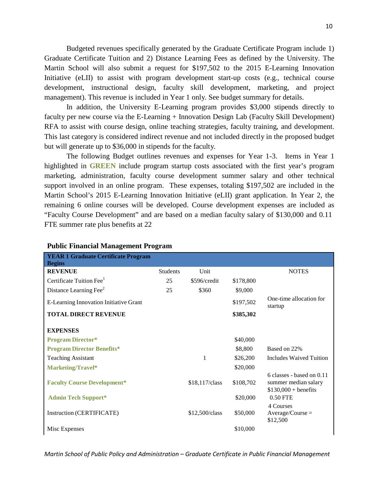Budgeted revenues specifically generated by the Graduate Certificate Program include 1) Graduate Certificate Tuition and 2) Distance Learning Fees as defined by the University. The Martin School will also submit a request for \$197,502 to the 2015 E-Learning Innovation Initiative (eLII) to assist with program development start-up costs (e.g., technical course development, instructional design, faculty skill development, marketing, and project management). This revenue is included in Year 1 only. See budget summary for details.

In addition, the University E-Learning program provides \$3,000 stipends directly to faculty per new course via the E-Learning + Innovation Design Lab (Faculty Skill Development) RFA to assist with course design, online teaching strategies, faculty training, and development. This last category is considered indirect revenue and not included directly in the proposed budget but will generate up to \$36,000 in stipends for the faculty.

The following Budget outlines revenues and expenses for Year 1-3. Items in Year 1 highlighted in **GREEN** include program startup costs associated with the first year's program marketing, administration, faculty course development summer salary and other technical support involved in an online program. These expenses, totaling \$197,502 are included in the Martin School's 2015 E-Learning Innovation Initiative (eLII) grant application. In Year 2, the remaining 6 online courses will be developed. Course development expenses are included as "Faculty Course Development" and are based on a median faculty salary of \$130,000 and 0.11 FTE summer rate plus benefits at 22

| <b>YEAR 1 Graduate Certificate Program</b><br><b>Begins</b> |                 |                  |           |                                                                            |
|-------------------------------------------------------------|-----------------|------------------|-----------|----------------------------------------------------------------------------|
| <b>REVENUE</b>                                              | <b>Students</b> | Unit             |           | <b>NOTES</b>                                                               |
| Certificate Tuition Fee <sup>1</sup>                        | 25              | \$596/credit     | \$178,800 |                                                                            |
| Distance Learning Fee <sup>2</sup>                          | 25              | \$360            | \$9,000   |                                                                            |
| E-Learning Innovation Initiative Grant                      |                 |                  | \$197,502 | One-time allocation for<br>startup                                         |
| <b>TOTAL DIRECT REVENUE</b>                                 |                 |                  | \$385,302 |                                                                            |
| <b>EXPENSES</b>                                             |                 |                  |           |                                                                            |
| <b>Program Director*</b>                                    |                 |                  | \$40,000  |                                                                            |
| <b>Program Director Benefits*</b>                           |                 |                  | \$8,800   | Based on 22%                                                               |
| <b>Teaching Assistant</b>                                   |                 | 1                | \$26,200  | Includes Waived Tuition                                                    |
| Marketing/Travel*                                           |                 |                  | \$20,000  |                                                                            |
| <b>Faculty Course Development*</b>                          |                 | \$18,117/class   | \$108,702 | 6 classes - based on 0.11<br>summer median salary<br>$$130,000 + benefits$ |
| <b>Admin Tech Support*</b>                                  |                 |                  | \$20,000  | 0.50 FTE                                                                   |
| Instruction (CERTIFICATE)                                   |                 | $$12,500$ /class | \$50,000  | 4 Courses<br>$Average/Course =$<br>\$12,500                                |
| Misc Expenses                                               |                 |                  | \$10,000  |                                                                            |

### **Public Financial Management Program**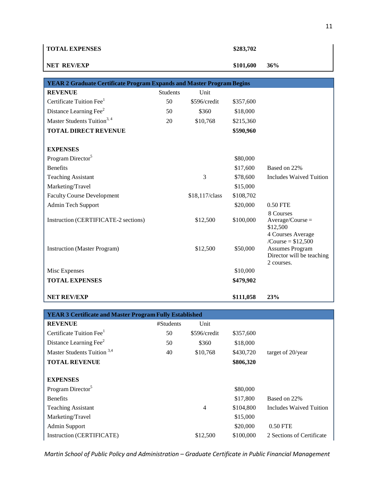| <b>TOTAL EXPENSES</b>                                                        |                 |                | \$283,702 |                                                                                                               |
|------------------------------------------------------------------------------|-----------------|----------------|-----------|---------------------------------------------------------------------------------------------------------------|
| <b>NET REV/EXP</b>                                                           |                 |                | \$101,600 | 36%                                                                                                           |
|                                                                              |                 |                |           |                                                                                                               |
| <b>YEAR 2 Graduate Certificate Program Expands and Master Program Begins</b> |                 |                |           |                                                                                                               |
| <b>REVENUE</b>                                                               | <b>Students</b> | Unit           |           |                                                                                                               |
| Certificate Tuition Fee <sup>1</sup>                                         | 50              | \$596/credit   | \$357,600 |                                                                                                               |
| Distance Learning Fee <sup>2</sup>                                           | 50              | \$360          | \$18,000  |                                                                                                               |
| Master Students Tuition <sup>3, 4</sup>                                      | 20              | \$10,768       | \$215,360 |                                                                                                               |
| <b>TOTAL DIRECT REVENUE</b>                                                  |                 |                | \$590,960 |                                                                                                               |
|                                                                              |                 |                |           |                                                                                                               |
| <b>EXPENSES</b>                                                              |                 |                |           |                                                                                                               |
| Program Director <sup>5</sup>                                                |                 |                | \$80,000  |                                                                                                               |
| <b>Benefits</b>                                                              |                 |                | \$17,600  | Based on 22%                                                                                                  |
| <b>Teaching Assistant</b>                                                    |                 | 3              | \$78,600  | <b>Includes Waived Tuition</b>                                                                                |
| Marketing/Travel                                                             |                 |                | \$15,000  |                                                                                                               |
| <b>Faculty Course Development</b>                                            |                 | \$18,117/class | \$108,702 |                                                                                                               |
| Admin Tech Support                                                           |                 |                | \$20,000  | 0.50 FTE                                                                                                      |
| Instruction (CERTIFICATE-2 sections)                                         |                 | \$12,500       | \$100,000 | 8 Courses<br>$Average/Course =$<br>\$12,500                                                                   |
| <b>Instruction</b> (Master Program)                                          |                 | \$12,500       | \$50,000  | 4 Courses Average<br>/Course = $$12,500$<br><b>Assumes Program</b><br>Director will be teaching<br>2 courses. |
| Misc Expenses                                                                |                 |                | \$10,000  |                                                                                                               |
| <b>TOTAL EXPENSES</b>                                                        |                 |                | \$479,902 |                                                                                                               |
| <b>NET REV/EXP</b>                                                           |                 |                | \$111,058 | 23%                                                                                                           |

| <b>YEAR 3 Certificate and Master Program Fully Established</b> |           |              |           |                           |  |  |
|----------------------------------------------------------------|-----------|--------------|-----------|---------------------------|--|--|
| <b>REVENUE</b>                                                 | #Students | Unit         |           |                           |  |  |
| Certificate Tuition Fee <sup>1</sup>                           | 50        | \$596/credit | \$357,600 |                           |  |  |
| Distance Learning Fee <sup>2</sup>                             | 50        | \$360        | \$18,000  |                           |  |  |
| Master Students Tuition <sup>3,4</sup>                         | 40        | \$10,768     | \$430,720 | target of 20/year         |  |  |
| <b>TOTAL REVENUE</b>                                           |           |              | \$806,320 |                           |  |  |
|                                                                |           |              |           |                           |  |  |
| <b>EXPENSES</b>                                                |           |              |           |                           |  |  |
| Program Director <sup>5</sup>                                  |           |              | \$80,000  |                           |  |  |
| <b>Benefits</b>                                                |           |              | \$17,800  | Based on 22%              |  |  |
| <b>Teaching Assistant</b>                                      |           | 4            | \$104,800 | Includes Waived Tuition   |  |  |
| Marketing/Travel                                               |           |              | \$15,000  |                           |  |  |
| Admin Support                                                  |           |              | \$20,000  | 0.50 FTE                  |  |  |
| Instruction (CERTIFICATE)                                      |           | \$12,500     | \$100,000 | 2 Sections of Certificate |  |  |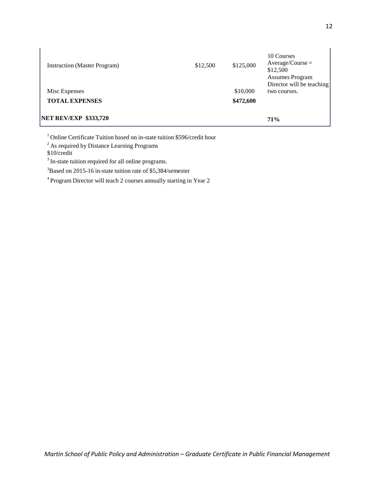| <b>NET REV/EXP \$333,720</b>        |          |           | 71%                                                                 |
|-------------------------------------|----------|-----------|---------------------------------------------------------------------|
| <b>TOTAL EXPENSES</b>               |          | \$472,600 |                                                                     |
| Misc Expenses                       |          | \$10,000  | <b>Assumes Program</b><br>Director will be teaching<br>two courses. |
| <b>Instruction</b> (Master Program) | \$12,500 | \$125,000 | 10 Courses<br>$Average/Course =$<br>\$12,500                        |

<sup>1</sup> Online Certificate Tuition based on in-state tuition \$596/credit hour

<sup>2</sup> As required by Distance Learning Programs

\$10/credit

<sup>3</sup> In-state tuition required for all online programs.

<sup>3</sup>Based on 2015-16 in-state tuition rate of \$5,384/semester

4 Program Director will teach 2 courses annually starting in Year 2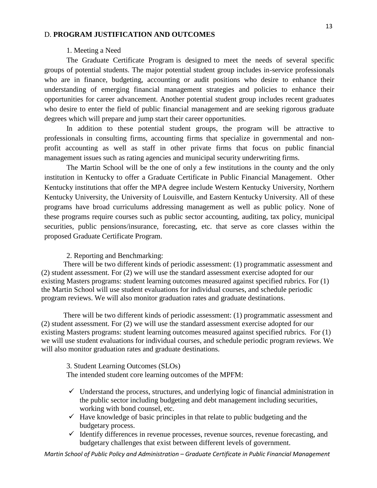# D. **PROGRAM JUSTIFICATION AND OUTCOMES**

# 1. Meeting a Need

The Graduate Certificate Program is designed to meet the needs of several specific groups of potential students. The major potential student group includes in-service professionals who are in finance, budgeting, accounting or audit positions who desire to enhance their understanding of emerging financial management strategies and policies to enhance their opportunities for career advancement. Another potential student group includes recent graduates who desire to enter the field of public financial management and are seeking rigorous graduate degrees which will prepare and jump start their career opportunities.

In addition to these potential student groups, the program will be attractive to professionals in consulting firms, accounting firms that specialize in governmental and nonprofit accounting as well as staff in other private firms that focus on public financial management issues such as rating agencies and municipal security underwriting firms.

The Martin School will be the one of only a few institutions in the county and the only institution in Kentucky to offer a Graduate Certificate in Public Financial Management. Other Kentucky institutions that offer the MPA degree include Western Kentucky University, Northern Kentucky University, the University of Louisville, and Eastern Kentucky University. All of these programs have broad curriculums addressing management as well as public policy. None of these programs require courses such as public sector accounting, auditing, tax policy, municipal securities, public pensions/insurance, forecasting, etc. that serve as core classes within the proposed Graduate Certificate Program.

# 2. Reporting and Benchmarking:

There will be two different kinds of periodic assessment: (1) programmatic assessment and (2) student assessment. For (2) we will use the standard assessment exercise adopted for our existing Masters programs: student learning outcomes measured against specified rubrics. For (1) the Martin School will use student evaluations for individual courses, and schedule periodic program reviews. We will also monitor graduation rates and graduate destinations.

There will be two different kinds of periodic assessment: (1) programmatic assessment and (2) student assessment. For (2) we will use the standard assessment exercise adopted for our existing Masters programs: student learning outcomes measured against specified rubrics. For (1) we will use student evaluations for individual courses, and schedule periodic program reviews. We will also monitor graduation rates and graduate destinations.

3. Student Learning Outcomes (SLOs) The intended student core learning outcomes of the MPFM:

- $\checkmark$  Understand the process, structures, and underlying logic of financial administration in the public sector including budgeting and debt management including securities, working with bond counsel, etc.
- $\checkmark$  Have knowledge of basic principles in that relate to public budgeting and the budgetary process.
- $\checkmark$  Identify differences in revenue processes, revenue sources, revenue forecasting, and budgetary challenges that exist between different levels of government.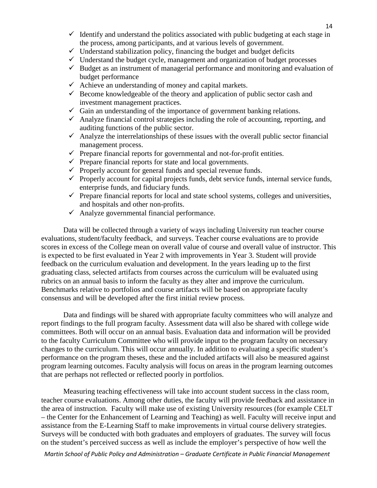- $\checkmark$  Identify and understand the politics associated with public budgeting at each stage in the process, among participants, and at various levels of government.
- $\checkmark$  Understand stabilization policy, financing the budget and budget deficits
- $\checkmark$  Understand the budget cycle, management and organization of budget processes
- $\checkmark$  Budget as an instrument of managerial performance and monitoring and evaluation of budget performance
- $\checkmark$  Achieve an understanding of money and capital markets.
- $\checkmark$  Become knowledgeable of the theory and application of public sector cash and investment management practices.
- $\checkmark$  Gain an understanding of the importance of government banking relations.
- $\checkmark$  Analyze financial control strategies including the role of accounting, reporting, and auditing functions of the public sector.
- $\checkmark$  Analyze the interrelationships of these issues with the overall public sector financial management process.
- $\checkmark$  Prepare financial reports for governmental and not-for-profit entities.
- $\checkmark$  Prepare financial reports for state and local governments.
- $\checkmark$  Properly account for general funds and special revenue funds.
- $\checkmark$  Properly account for capital projects funds, debt service funds, internal service funds, enterprise funds, and fiduciary funds.
- $\checkmark$  Prepare financial reports for local and state school systems, colleges and universities, and hospitals and other non-profits.
- $\checkmark$  Analyze governmental financial performance.

Data will be collected through a variety of ways including University run teacher course evaluations, student/faculty feedback, and surveys. Teacher course evaluations are to provide scores in excess of the College mean on overall value of course and overall value of instructor. This is expected to be first evaluated in Year 2 with improvements in Year 3. Student will provide feedback on the curriculum evaluation and development. In the years leading up to the first graduating class, selected artifacts from courses across the curriculum will be evaluated using rubrics on an annual basis to inform the faculty as they alter and improve the curriculum. Benchmarks relative to portfolios and course artifacts will be based on appropriate faculty consensus and will be developed after the first initial review process.

Data and findings will be shared with appropriate faculty committees who will analyze and report findings to the full program faculty. Assessment data will also be shared with college wide committees. Both will occur on an annual basis. Evaluation data and information will be provided to the faculty Curriculum Committee who will provide input to the program faculty on necessary changes to the curriculum. This will occur annually. In addition to evaluating a specific student's performance on the program theses, these and the included artifacts will also be measured against program learning outcomes. Faculty analysis will focus on areas in the program learning outcomes that are perhaps not reflected or reflected poorly in portfolios.

Measuring teaching effectiveness will take into account student success in the class room, teacher course evaluations. Among other duties, the faculty will provide feedback and assistance in the area of instruction. Faculty will make use of existing University resources (for example CELT – the Center for the Enhancement of Learning and Teaching) as well. Faculty will receive input and assistance from the E-Learning Staff to make improvements in virtual course delivery strategies. Surveys will be conducted with both graduates and employers of graduates. The survey will focus on the student's perceived success as well as include the employer's perspective of how well the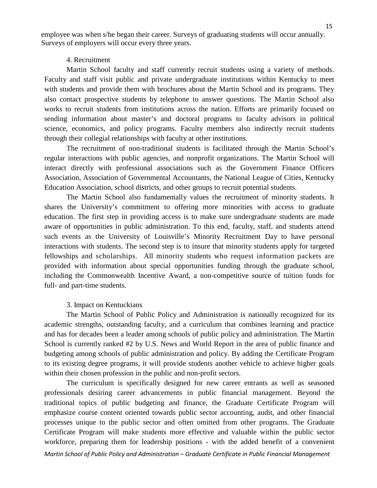employee was when s/he began their career. Surveys of graduating students will occur annually. Surveys of employers will occur every three years.

#### 4. Recruitment

Martin School faculty and staff currently recruit students using a variety of methods. Faculty and staff visit public and private undergraduate institutions within Kentucky to meet with students and provide them with brochures about the Martin School and its programs. They also contact prospective students by telephone to answer questions. The Martin School also works to recruit students from institutions across the nation. Efforts are primarily focused on sending information about master's and doctoral programs to faculty advisors in political science, economics, and policy programs. Faculty members also indirectly recruit students through their collegial relationships with faculty at other institutions.

The recruitment of non-traditional students is facilitated through the Martin School's regular interactions with public agencies, and nonprofit organizations. The Martin School will interact directly with professional associations such as the Government Finance Officers Association, Association of Governmental Accountants, the National League of Cities, Kentucky Education Association, school districts, and other groups to recruit potential students.

The Martin School also fundamentally values the recruitment of minority students. It shares the University's commitment to offering more minorities with access to graduate education. The first step in providing access is to make sure undergraduate students are made aware of opportunities in public administration. To this end, faculty, staff, and students attend such events as the University of Louisville's Minority Recruitment Day to have personal interactions with students. The second step is to insure that minority students apply for targeted fellowships and scholarships. All minority students who request information packets are provided with information about special opportunities funding through the graduate school, including the Commonwealth Incentive Award, a non-competitive source of tuition funds for full- and part-time students.

# 3. Impact on Kentuckians

The Martin School of Public Policy and Administration is nationally recognized for its academic strengths, outstanding faculty, and a curriculum that combines learning and practice and has for decades been a leader among schools of public policy and administration. The Martin School is currently ranked #2 by U.S. News and World Report in the area of public finance and budgeting among schools of public administration and policy. By adding the Certificate Program to its existing degree programs, it will provide students another vehicle to achieve higher goals within their chosen profession in the public and non-profit sectors.

*Martin School of Public Policy and Administration – Graduate Certificate in Public Financial Management* The curriculum is specifically designed for new career entrants as well as seasoned professionals desiring career advancements in public financial management. Beyond the traditional topics of public budgeting and finance, the Graduate Certificate Program will emphasize course content oriented towards public sector accounting, audit, and other financial processes unique to the public sector and often omitted from other programs. The Graduate Certificate Program will make students more effective and valuable within the public sector workforce, preparing them for leadership positions - with the added benefit of a convenient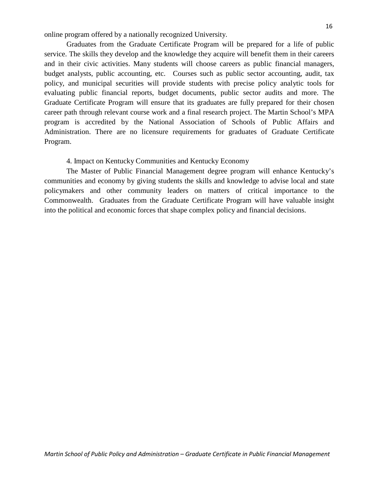online program offered by a nationally recognized University.

Graduates from the Graduate Certificate Program will be prepared for a life of public service. The skills they develop and the knowledge they acquire will benefit them in their careers and in their civic activities. Many students will choose careers as public financial managers, budget analysts, public accounting, etc. Courses such as public sector accounting, audit, tax policy, and municipal securities will provide students with precise policy analytic tools for evaluating public financial reports, budget documents, public sector audits and more. The Graduate Certificate Program will ensure that its graduates are fully prepared for their chosen career path through relevant course work and a final research project. The Martin School's MPA program is accredited by the National Association of Schools of Public Affairs and Administration. There are no licensure requirements for graduates of Graduate Certificate Program.

### 4. Impact on Kentucky Communities and Kentucky Economy

The Master of Public Financial Management degree program will enhance Kentucky's communities and economy by giving students the skills and knowledge to advise local and state policymakers and other community leaders on matters of critical importance to the Commonwealth. Graduates from the Graduate Certificate Program will have valuable insight into the political and economic forces that shape complex policy and financial decisions.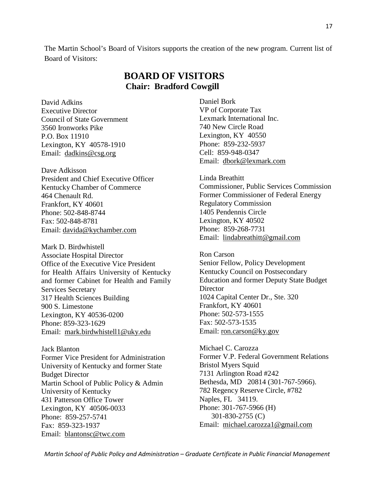The Martin School's Board of Visitors supports the creation of the new program. Current list of Board of Visitors:

# **BOARD OF VISITORS Chair: Bradford Cowgill**

David Adkins Executive Director Council of State Government 3560 Ironworks Pike P.O. Box 11910 Lexington, KY 40578-1910 Email: [dadkins@csg.org](mailto:dadkins@csg.org)

Dave Adkisson President and Chief Executive Officer Kentucky Chamber of Commerce 464 Chenault Rd. Frankfort, KY 40601 Phone: 502-848-8744 Fax: 502-848-8781 Email: [davida@kychamber.com](mailto:davida@kychamber.com)

Mark D. Birdwhistell Associate Hospital Director Office of the Executive Vice President for Health Affairs University of Kentucky and former Cabinet for Health and Family Services Secretary 317 Health Sciences Building 900 S. Limestone Lexington, KY 40536-0200 Phone: 859-323-1629 Email: [mark.birdwhistell1@uky.edu](mailto:mark.birdwhistell@uky.edu)

Jack Blanton Former Vice President for Administration University of Kentucky and former State Budget Director Martin School of Public Policy & Admin University of Kentucky 431 Patterson Office Tower Lexington, KY 40506-0033 Phone: 859-257-5741 Fax: 859-323-1937 Email: [blantonsc@twc.com](mailto:blantonsc@twc.com)

Daniel Bork VP of Corporate Tax Lexmark International Inc. 740 New Circle Road Lexington, KY 40550 Phone: 859-232-5937 Cell: 859-948-0347 Email: [dbork@lexmark.com](mailto:dbork@lexmark.com)

Linda Breathitt Commissioner, Public Services Commission Former Commissioner of Federal Energy Regulatory Commission 1405 Pendennis Circle Lexington, KY 40502 Phone: 859-268-7731 Email: [lindabreathitt@gmail.com](mailto:lindabreathitt@gmail.com)

Ron Carson Senior Fellow, Policy Development Kentucky Council on Postsecondary Education and former Deputy State Budget **Director** 1024 Capital Center Dr., Ste. 320 Frankfort, KY 40601 Phone: 502-573-1555 Fax: 502-573-1535 Email: [ron.carson@ky.gov](mailto:ron.carson@ky.gov)

Michael C. Carozza Former V.P. Federal Government Relations Bristol Myers Squid 7131 Arlington Road #242 Bethesda, MD 20814 (301-767-5966). 782 Regency Reserve Circle, #782 Naples, FL 34119. Phone: 301-767-5966 (H) 301-830-2755 (C) Email: [michael.carozza1@gmail.com](mailto:michael.carozza1@gmail.com)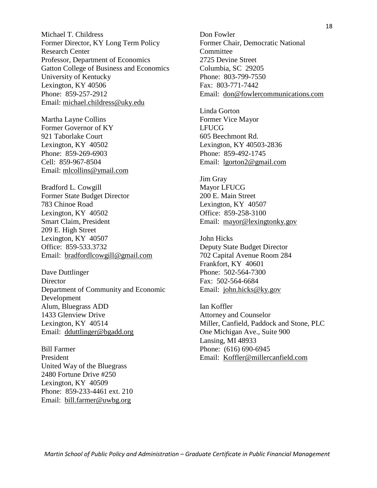Michael T. Childress Former Director, KY Long Term Policy Research Center Professor, Department of Economics Gatton College of Business and Economics University of Kentucky Lexington, KY 40506 Phone: 859-257-2912 Email: [michael.childress@uky.edu](mailto:michael.childress@uky.edu)

Martha Layne Collins Former Governor of KY 921 Taborlake Court Lexington, KY 40502 Phone: 859-269-6903 Cell: 859-967-8504 Email: [mlcollins@ymail.com](mailto:mlcollins@ymail.com)

Bradford L. Cowgill Former State Budget Director 783 Chinoe Road Lexington, KY 40502 Smart Claim, President 209 E. High Street Lexington, KY 40507 Office: 859-533.3732 Email: [bradfordlcowgill@gmail.com](mailto:bradfordlcowgill@gmail.com)

Dave Duttlinger Director Department of Community and Economic Development Alum, Bluegrass ADD 1433 Glenview Drive Lexington, KY 40514 Email: [dduttlinger@bgadd.org](mailto:dduttlinger@bgadd.org)

Bill Farmer President United Way of the Bluegrass 2480 Fortune Drive #250 Lexington, KY 40509 Phone: 859-233-4461 ext. 210 Email: [bill.farmer@uwbg.org](mailto:bill.farmer@uwbg.org)

Don Fowler Former Chair, Democratic National **Committee** 2725 Devine Street Columbia, SC 29205 Phone: 803-799-7550 Fax: 803-771-7442 Email: [don@fowlercommunications.com](mailto:don@fowlercommunications.com)

Linda Gorton Former Vice Mayor LFUCG 605 Beechmont Rd. Lexington, KY 40503-2836 Phone: 859-492-1745 Email: [lgorton2@gmail.com](mailto:lgorton2@gmail.com)

Jim Gray Mayor LFUCG 200 E. Main Street Lexington, KY 40507 Office: 859-258-3100 Email: [mayor@lexingtonky.gov](mailto:mayor@lexingtonky.gov)

John Hicks Deputy State Budget Director 702 Capital Avenue Room 284 Frankfort, KY 40601 Phone: 502-564-7300 Fax: 502-564-6684 Email: [john.hicks@ky.gov](mailto:john.hicks@ky.gov)

Ian Koffler Attorney and Counselor Miller, Canfield, Paddock and Stone, PLC One Michigan Ave., Suite 900 Lansing, MI 48933 Phone: (616) 690-6945 Email: [Koffler@millercanfield.com](mailto:Koffler@millercanfield.com)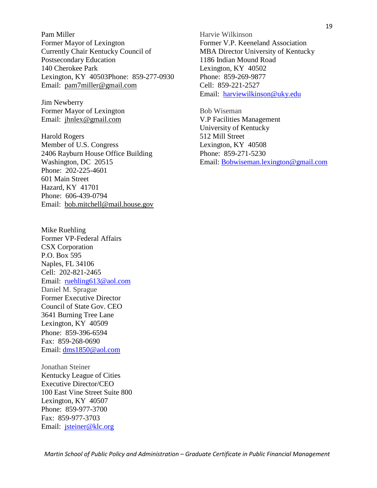Pam Miller Former Mayor of Lexington Currently Chair Kentucky Council of Postsecondary Education 140 Cherokee Park Lexington, KY 40503Phone: 859-277-0930 Email: [pam7miller@gmail.com](mailto:p.miller7@insightbb.com)

Jim Newberry Former Mayor of Lexington Email: [jhnlex@gmail.com](mailto:jhnlex@gmail.com)

Harold Rogers Member of U.S. Congress 2406 Rayburn House Office Building Washington, DC 20515 Phone: 202-225-4601 601 Main Street Hazard, KY 41701 Phone: 606-439-0794 Email: [bob.mitchell@mail.house.gov](mailto:bob.mitchell@mail.house.gov)

Mike Ruehling Former VP-Federal Affairs CSX Corporation P.O. Box 595 Naples, FL 34106 Cell: 202-821-2465 Email: [ruehling613@aol.com](mailto:ruehling613@aol.com) Daniel M. Sprague Former Executive Director Council of State Gov. CEO 3641 Burning Tree Lane Lexington, KY 40509 Phone: 859-396-6594 Fax: 859-268-0690 Email: [dms1850@aol.com](mailto:dms1850@aol.com)

Jonathan Steiner Kentucky League of Cities Executive Director/CEO 100 East Vine Street Suite 800 Lexington, KY 40507 Phone: 859-977-3700 Fax: 859-977-3703 Email: [jsteiner@klc.org](mailto:jsteiner@klc.org)

Harvie Wilkinson Former V.P. Keeneland Association MBA Director University of Kentucky 1186 Indian Mound Road Lexington, KY 40502 Phone: 859-269-9877 Cell: 859-221-2527 Email: [harviewilkinson@uky.edu](mailto:harviewilkinson@uky.edu)

Bob Wiseman V.P Facilities Management University of Kentucky 512 Mill Street Lexington, KY 40508 Phone: 859-271-5230 Email: Bobwiseman.lexington@gmail.com